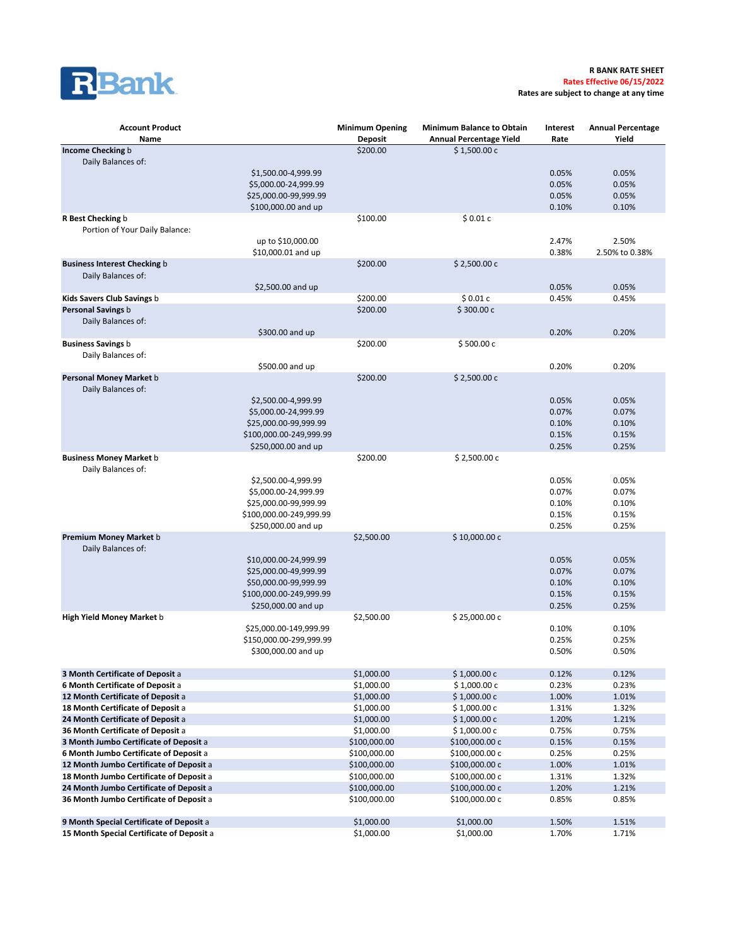

**Rates are subject to change at any time**

| <b>Account Product</b>                    |                         | <b>Minimum Opening</b> | <b>Minimum Balance to Obtain</b> | Interest | <b>Annual Percentage</b> |
|-------------------------------------------|-------------------------|------------------------|----------------------------------|----------|--------------------------|
| Name                                      |                         | <b>Deposit</b>         | <b>Annual Percentage Yield</b>   | Rate     | Yield                    |
| Income Checking b                         |                         | \$200.00               | \$1,500.00 c                     |          |                          |
| Daily Balances of:                        |                         |                        |                                  |          |                          |
|                                           | \$1,500.00-4,999.99     |                        |                                  | 0.05%    | 0.05%                    |
|                                           | \$5,000.00-24,999.99    |                        |                                  | 0.05%    | 0.05%                    |
|                                           | \$25,000.00-99,999.99   |                        |                                  | 0.05%    | 0.05%                    |
|                                           | \$100,000.00 and up     |                        |                                  | 0.10%    | 0.10%                    |
| R Best Checking b                         |                         | \$100.00               | \$0.01c                          |          |                          |
| Portion of Your Daily Balance:            |                         |                        |                                  |          |                          |
|                                           | up to \$10,000.00       |                        |                                  | 2.47%    | 2.50%                    |
|                                           | \$10,000.01 and up      |                        |                                  | 0.38%    | 2.50% to 0.38%           |
| <b>Business Interest Checking b</b>       |                         | \$200.00               | \$2,500.00 c                     |          |                          |
| Daily Balances of:                        |                         |                        |                                  | 0.05%    | 0.05%                    |
| Kids Savers Club Savings b                | \$2,500.00 and up       | \$200.00               | \$0.01c                          | 0.45%    | 0.45%                    |
| Personal Savings b                        |                         | \$200.00               | \$300.00c                        |          |                          |
| Daily Balances of:                        |                         |                        |                                  |          |                          |
|                                           | \$300.00 and up         |                        |                                  | 0.20%    | 0.20%                    |
| <b>Business Savings b</b>                 |                         | \$200.00               | \$500.00c                        |          |                          |
| Daily Balances of:                        |                         |                        |                                  |          |                          |
|                                           | \$500.00 and up         |                        |                                  | 0.20%    | 0.20%                    |
| Personal Money Market b                   |                         | \$200.00               | \$2,500.00 c                     |          |                          |
| Daily Balances of:                        |                         |                        |                                  |          |                          |
|                                           | \$2,500.00-4,999.99     |                        |                                  | 0.05%    | 0.05%                    |
|                                           | \$5,000.00-24,999.99    |                        |                                  | 0.07%    | 0.07%                    |
|                                           | \$25,000.00-99,999.99   |                        |                                  | 0.10%    | 0.10%                    |
|                                           | \$100,000.00-249,999.99 |                        |                                  | 0.15%    | 0.15%                    |
|                                           | \$250,000.00 and up     |                        |                                  | 0.25%    | 0.25%                    |
| <b>Business Money Market b</b>            |                         | \$200.00               | \$2,500.00 c                     |          |                          |
| Daily Balances of:                        |                         |                        |                                  |          |                          |
|                                           | \$2,500.00-4,999.99     |                        |                                  | 0.05%    | 0.05%                    |
|                                           | \$5,000.00-24,999.99    |                        |                                  | 0.07%    | 0.07%                    |
|                                           | \$25,000.00-99,999.99   |                        |                                  | 0.10%    | 0.10%                    |
|                                           | \$100,000.00-249,999.99 |                        |                                  | 0.15%    | 0.15%                    |
|                                           | \$250,000.00 and up     |                        |                                  | 0.25%    | 0.25%                    |
| Premium Money Market b                    |                         | \$2,500.00             | \$10,000.00 c                    |          |                          |
| Daily Balances of:                        |                         |                        |                                  |          |                          |
|                                           | \$10,000.00-24,999.99   |                        |                                  | 0.05%    | 0.05%                    |
|                                           | \$25,000.00-49,999.99   |                        |                                  | 0.07%    | 0.07%                    |
|                                           | \$50,000.00-99,999.99   |                        |                                  | 0.10%    | 0.10%                    |
|                                           | \$100,000.00-249,999.99 |                        |                                  | 0.15%    | 0.15%                    |
|                                           | \$250,000.00 and up     |                        | \$25,000.00 c                    | 0.25%    | 0.25%                    |
| <b>High Yield Money Market b</b>          | \$25,000.00-149,999.99  | \$2,500.00             |                                  | 0.10%    | 0.10%                    |
|                                           | \$150,000.00-299,999.99 |                        |                                  | 0.25%    | 0.25%                    |
|                                           | \$300,000.00 and up     |                        |                                  | 0.50%    | 0.50%                    |
|                                           |                         |                        |                                  |          |                          |
| 3 Month Certificate of Deposit a          |                         | \$1,000.00             | \$1,000.00 c                     | 0.12%    | 0.12%                    |
| 6 Month Certificate of Deposit a          |                         | \$1,000.00             | \$1,000.00 c                     | 0.23%    | 0.23%                    |
| 12 Month Certificate of Deposit a         |                         | \$1,000.00             | \$1,000.00c                      | 1.00%    | 1.01%                    |
| 18 Month Certificate of Deposit a         |                         | \$1,000.00             | \$1,000.00c                      | 1.31%    | 1.32%                    |
| 24 Month Certificate of Deposit a         |                         | \$1,000.00             | \$1,000.00 c                     | 1.20%    | 1.21%                    |
| 36 Month Certificate of Deposit a         |                         | \$1,000.00             | \$1,000.00 c                     | 0.75%    | 0.75%                    |
| 3 Month Jumbo Certificate of Deposit a    |                         | \$100,000.00           | \$100,000.00 c                   | 0.15%    | 0.15%                    |
| 6 Month Jumbo Certificate of Deposit a    |                         | \$100,000.00           | \$100,000.00 c                   | 0.25%    | 0.25%                    |
| 12 Month Jumbo Certificate of Deposit a   |                         | \$100,000.00           | \$100,000.00 c                   | 1.00%    | 1.01%                    |
| 18 Month Jumbo Certificate of Deposit a   |                         | \$100,000.00           | \$100,000.00 c                   | 1.31%    | 1.32%                    |
| 24 Month Jumbo Certificate of Deposit a   |                         | \$100,000.00           | \$100,000.00 c                   | 1.20%    | 1.21%                    |
| 36 Month Jumbo Certificate of Deposit a   |                         | \$100,000.00           | \$100,000.00 c                   | 0.85%    | 0.85%                    |
|                                           |                         |                        |                                  |          |                          |
| 9 Month Special Certificate of Deposit a  |                         | \$1,000.00             | \$1,000.00                       | 1.50%    | 1.51%                    |
| 15 Month Special Certificate of Deposit a |                         | \$1,000.00             | \$1,000.00                       | 1.70%    | 1.71%                    |